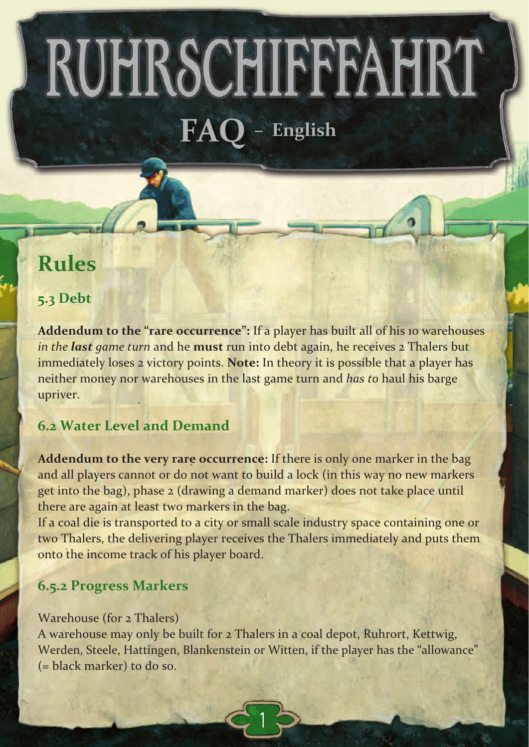RUHRSCHIFFFAHRT **FAQ – English**

# **Rules**

### **5.3 Debt**

**Addendum to the "rare occurrence":** If a player has built all of his 10 warehouses *in the last game turn* and he **must** run into debt again, he receives 2 Thalers but immediately loses 2 victory points. **Note:** In theory it is possible that a player has neither money nor warehouses in the last game turn and *has to* haul his barge upriver.

### **6.2 Water Level and Demand**

**Addendum to the very rare occurrence:** If there is only one marker in the bag and all players cannot or do not want to build a lock (in this way no new markers get into the bag), phase 2 (drawing a demand marker) does not take place until there are again at least two markers in the bag.

If a coal die is transported to a city or small scale industry space containing one or two Thalers, the delivering player receives the Thalers immediately and puts them onto the income track of his player board.

### **6.5.2 Progress Markers**

#### Warehouse (for 2 Thalers)

A warehouse may only be built for 2 Thalers in a coal depot, Ruhrort, Kettwig, Werden, Steele, Hattingen, Blankenstein or Witten, if the player has the "allowance" (= black marker) to do so.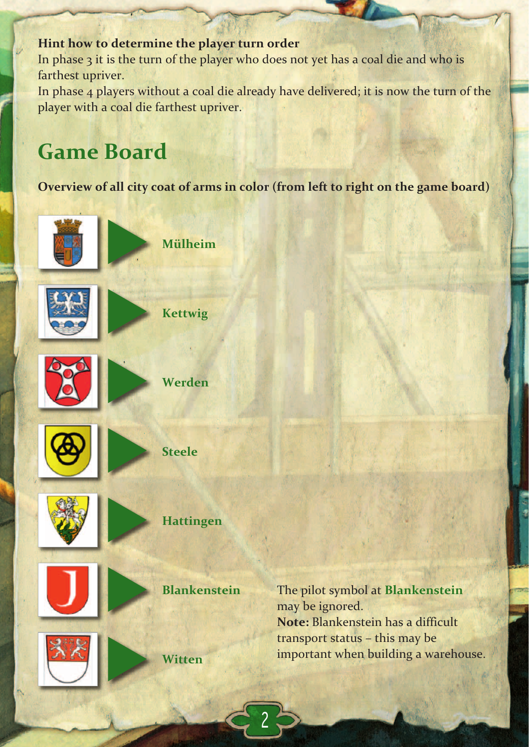### **Hint how to determine the player turn order**

In phase 3 it is the turn of the player who does not yet has a coal die and who is farthest upriver.

In phase 4 players without a coal die already have delivered; it is now the turn of the player with a coal die farthest upriver.

# **Game Board**

**Overview of all city coat of arms in color (from left to right on the game board)**



**Mülheim**

**Kettwig**



**Werden**













The pilot symbol at **Blankenstein** may be ignored. **Note:** Blankenstein has a difficult transport status – this may be important when building a warehouse.

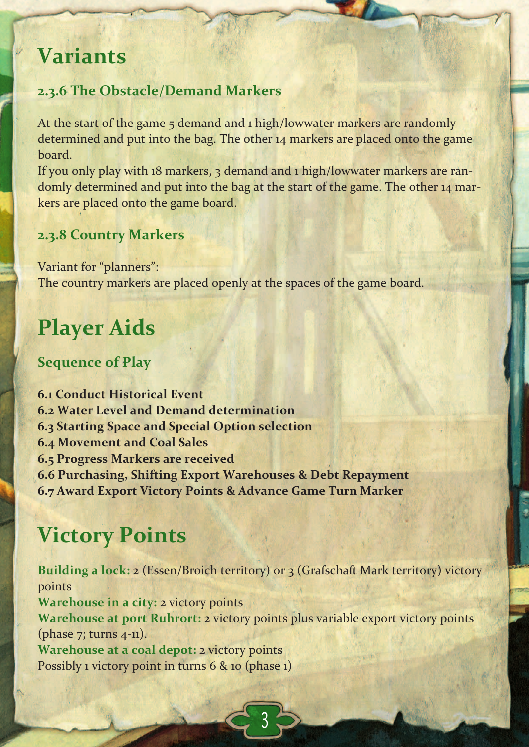# **Variants**

### **2.3.6 The Obstacle/Demand Markers**

At the start of the game 5 demand and 1 high/lowwater markers are randomly determined and put into the bag. The other 14 markers are placed onto the game **board** 

If you only play with 18 markers, 3 demand and 1 high/lowwater markers are ran‐ domly determined and put into the bag at the start of the game. The other 14 markers are placed onto the game board.

### **2.3.8 Country Markers**

Variant for "planners": The country markers are placed openly at the spaces of the game board.

# **Player Aids**

### **Sequence of Play**

**6.1 Conduct Historical Event 6.2 Water Level and Demand determination 6.3 Starting Space and Special Option selection 6.4 Movement and Coal Sales 6.5 Progress Markers are received 6.6 Purchasing, Shifting Export Warehouses & Debt Repayment 6.7 Award Export Victory Points & Advance Game Turn Marker**

# **Victory Points**

**Building a lock:** 2 (Essen/Broich territory) or 3 (Grafschaft Mark territory) victory points **Warehouse in a city:** 2 victory points **Warehouse at port Ruhrort:** 2 victory points plus variable export victory points (phase  $7$ ; turns  $4$ -11). **Warehouse at a coal depot:** 2 victory points Possibly 1 victory point in turns 6 & 10 (phase 1)